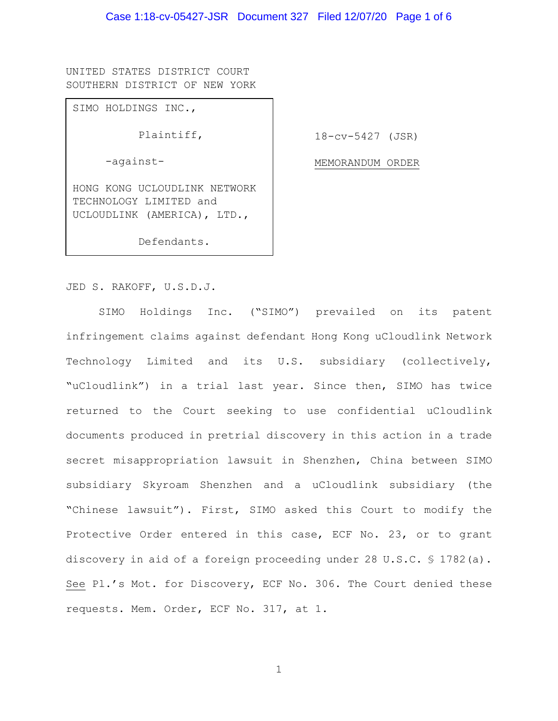UNITED STATES DISTRICT COURT SOUTHERN DISTRICT OF NEW YORK

SIMO HOLDINGS INC.,

-against-

Plaintiff,

18-cv-5427 (JSR)

MEMORANDUM ORDER

HONG KONG UCLOUDLINK NETWORK

TECHNOLOGY LIMITED and UCLOUDLINK (AMERICA), LTD.,

Defendants.

JED S. RAKOFF, U.S.D.J.

SIMO Holdings Inc. ("SIMO") prevailed on its patent infringement claims against defendant Hong Kong uCloudlink Network Technology Limited and its U.S. subsidiary (collectively, "uCloudlink") in a trial last year. Since then, SIMO has twice returned to the Court seeking to use confidential uCloudlink documents produced in pretrial discovery in this action in a trade secret misappropriation lawsuit in Shenzhen, China between SIMO subsidiary Skyroam Shenzhen and a uCloudlink subsidiary (the "Chinese lawsuit"). First, SIMO asked this Court to modify the Protective Order entered in this case, ECF No. 23, or to grant discovery in aid of a foreign proceeding under 28 U.S.C. § 1782(a). See Pl.'s Mot. for Discovery, ECF No. 306. The Court denied these requests. Mem. Order, ECF No. 317, at 1.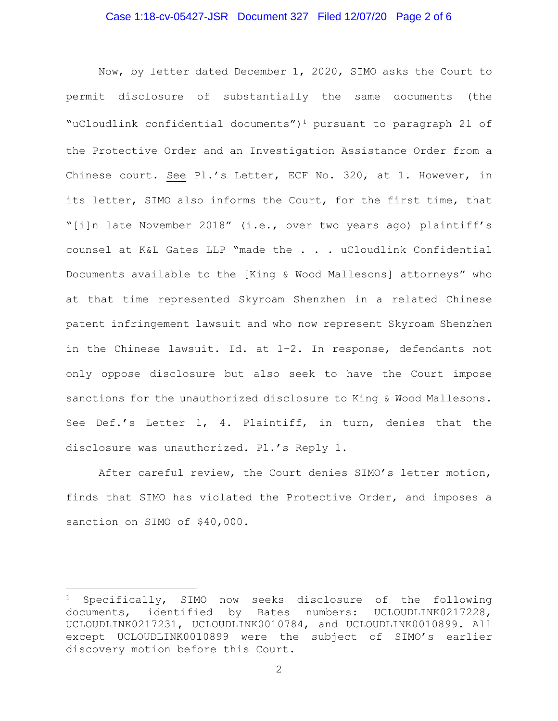## Case 1:18-cv-05427-JSR Document 327 Filed 12/07/20 Page 2 of 6

Now, by letter dated December 1, 2020, SIMO asks the Court to permit disclosure of substantially the same documents (the "uCloudlink confidential documents")<sup>1</sup> pursuant to paragraph 21 of the Protective Order and an Investigation Assistance Order from a Chinese court. See Pl.'s Letter, ECF No. 320, at 1. However, in its letter, SIMO also informs the Court, for the first time, that "[i]n late November 2018" (i.e., over two years ago) plaintiff's counsel at K&L Gates LLP "made the . . . uCloudlink Confidential Documents available to the [King & Wood Mallesons] attorneys" who at that time represented Skyroam Shenzhen in a related Chinese patent infringement lawsuit and who now represent Skyroam Shenzhen in the Chinese lawsuit. Id. at 1–2. In response, defendants not only oppose disclosure but also seek to have the Court impose sanctions for the unauthorized disclosure to King & Wood Mallesons. See Def.'s Letter 1, 4. Plaintiff, in turn, denies that the disclosure was unauthorized. Pl.'s Reply 1**.**

After careful review, the Court denies SIMO's letter motion, finds that SIMO has violated the Protective Order, and imposes a sanction on SIMO of \$40,000.

<sup>&</sup>lt;sup>1</sup> Specifically, SIMO now seeks disclosure of the following documents, identified by Bates numbers: UCLOUDLINK0217228, UCLOUDLINK0217231, UCLOUDLINK0010784, and UCLOUDLINK0010899. All except UCLOUDLINK0010899 were the subject of SIMO's earlier discovery motion before this Court.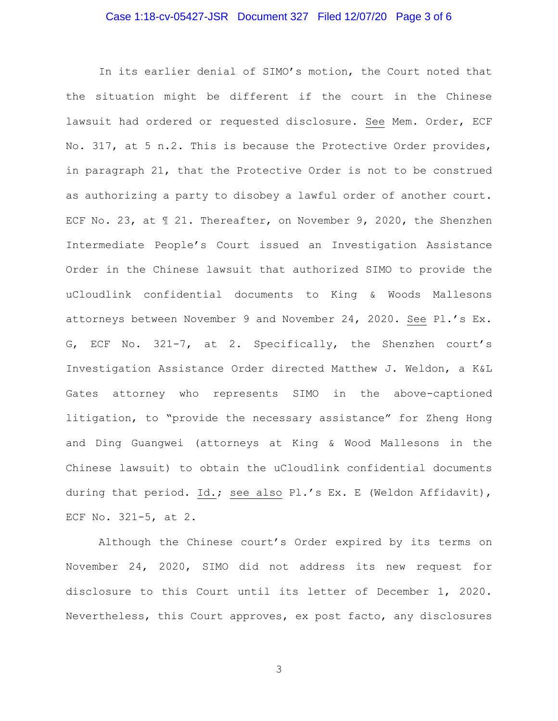## Case 1:18-cv-05427-JSR Document 327 Filed 12/07/20 Page 3 of 6

In its earlier denial of SIMO's motion, the Court noted that the situation might be different if the court in the Chinese lawsuit had ordered or requested disclosure. See Mem. Order, ECF No. 317, at 5 n.2. This is because the Protective Order provides, in paragraph 21, that the Protective Order is not to be construed as authorizing a party to disobey a lawful order of another court. ECF No. 23, at ¶ 21. Thereafter, on November 9, 2020, the Shenzhen Intermediate People's Court issued an Investigation Assistance Order in the Chinese lawsuit that authorized SIMO to provide the uCloudlink confidential documents to King & Woods Mallesons attorneys between November 9 and November 24, 2020. See Pl.'s Ex. G, ECF No. 321-7, at 2. Specifically, the Shenzhen court's Investigation Assistance Order directed Matthew J. Weldon, a K&L Gates attorney who represents SIMO in the above-captioned litigation, to "provide the necessary assistance" for Zheng Hong and Ding Guangwei (attorneys at King & Wood Mallesons in the Chinese lawsuit) to obtain the uCloudlink confidential documents during that period. Id.; see also Pl.'s Ex. E (Weldon Affidavit), ECF No. 321-5, at 2.

Although the Chinese court's Order expired by its terms on November 24, 2020, SIMO did not address its new request for disclosure to this Court until its letter of December 1, 2020. Nevertheless, this Court approves, ex post facto, any disclosures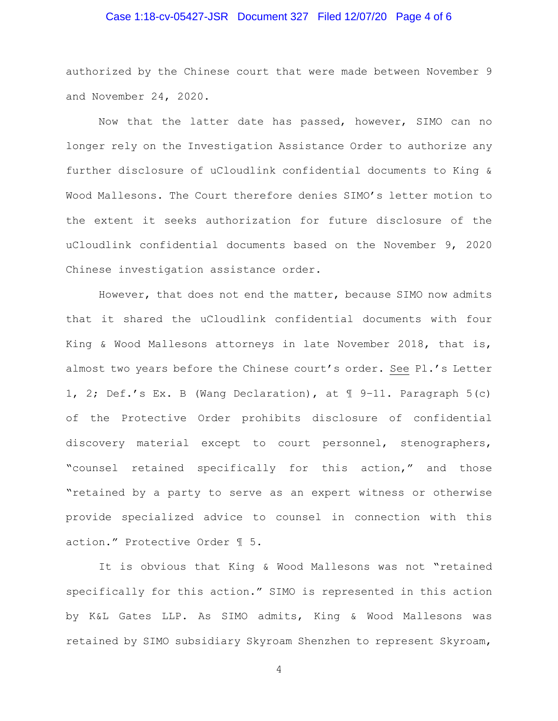## Case 1:18-cv-05427-JSR Document 327 Filed 12/07/20 Page 4 of 6

authorized by the Chinese court that were made between November 9 and November 24, 2020.

Now that the latter date has passed, however, SIMO can no longer rely on the Investigation Assistance Order to authorize any further disclosure of uCloudlink confidential documents to King & Wood Mallesons. The Court therefore denies SIMO's letter motion to the extent it seeks authorization for future disclosure of the uCloudlink confidential documents based on the November 9, 2020 Chinese investigation assistance order.

However, that does not end the matter, because SIMO now admits that it shared the uCloudlink confidential documents with four King & Wood Mallesons attorneys in late November 2018, that is, almost two years before the Chinese court's order. See Pl.'s Letter 1, 2; Def.'s Ex. B (Wang Declaration), at ¶ 9–11. Paragraph 5(c) of the Protective Order prohibits disclosure of confidential discovery material except to court personnel, stenographers, "counsel retained specifically for this action," and those "retained by a party to serve as an expert witness or otherwise provide specialized advice to counsel in connection with this action." Protective Order ¶ 5.

It is obvious that King & Wood Mallesons was not "retained specifically for this action." SIMO is represented in this action by K&L Gates LLP. As SIMO admits, King & Wood Mallesons was retained by SIMO subsidiary Skyroam Shenzhen to represent Skyroam,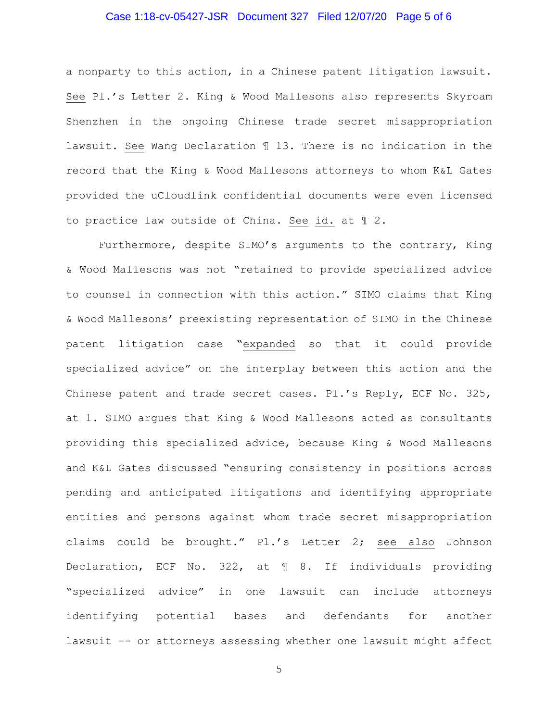# Case 1:18-cv-05427-JSR Document 327 Filed 12/07/20 Page 5 of 6

a nonparty to this action, in a Chinese patent litigation lawsuit. See Pl.'s Letter 2. King & Wood Mallesons also represents Skyroam Shenzhen in the ongoing Chinese trade secret misappropriation lawsuit. See Wang Declaration ¶ 13. There is no indication in the record that the King & Wood Mallesons attorneys to whom K&L Gates provided the uCloudlink confidential documents were even licensed to practice law outside of China. See id. at ¶ 2.

Furthermore, despite SIMO's arguments to the contrary, King & Wood Mallesons was not "retained to provide specialized advice to counsel in connection with this action." SIMO claims that King & Wood Mallesons' preexisting representation of SIMO in the Chinese patent litigation case "expanded so that it could provide specialized advice" on the interplay between this action and the Chinese patent and trade secret cases. Pl.'s Reply, ECF No. 325, at 1. SIMO argues that King & Wood Mallesons acted as consultants providing this specialized advice, because King & Wood Mallesons and K&L Gates discussed "ensuring consistency in positions across pending and anticipated litigations and identifying appropriate entities and persons against whom trade secret misappropriation claims could be brought." Pl.'s Letter 2; see also Johnson Declaration, ECF No. 322, at ¶ 8. If individuals providing "specialized advice" in one lawsuit can include attorneys identifying potential bases and defendants for another lawsuit -- or attorneys assessing whether one lawsuit might affect